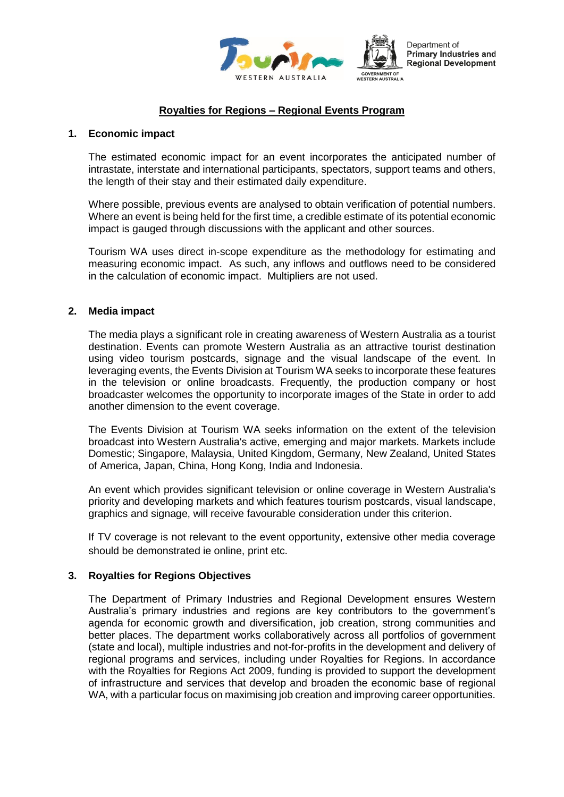

Department of **Primary Industries and Regional Development** 

# **Royalties for Regions – Regional Events Program**

#### **1. Economic impact**

The estimated economic impact for an event incorporates the anticipated number of intrastate, interstate and international participants, spectators, support teams and others, the length of their stay and their estimated daily expenditure.

Where possible, previous events are analysed to obtain verification of potential numbers. Where an event is being held for the first time, a credible estimate of its potential economic impact is gauged through discussions with the applicant and other sources.

Tourism WA uses direct in-scope expenditure as the methodology for estimating and measuring economic impact. As such, any inflows and outflows need to be considered in the calculation of economic impact. Multipliers are not used.

### **2. Media impact**

The media plays a significant role in creating awareness of Western Australia as a tourist destination. Events can promote Western Australia as an attractive tourist destination using video tourism postcards, signage and the visual landscape of the event. In leveraging events, the Events Division at Tourism WA seeks to incorporate these features in the television or online broadcasts. Frequently, the production company or host broadcaster welcomes the opportunity to incorporate images of the State in order to add another dimension to the event coverage.

The Events Division at Tourism WA seeks information on the extent of the television broadcast into Western Australia's active, emerging and major markets. Markets include Domestic; Singapore, Malaysia, United Kingdom, Germany, New Zealand, United States of America, Japan, China, Hong Kong, India and Indonesia.

An event which provides significant television or online coverage in Western Australia's priority and developing markets and which features tourism postcards, visual landscape, graphics and signage, will receive favourable consideration under this criterion.

If TV coverage is not relevant to the event opportunity, extensive other media coverage should be demonstrated ie online, print etc.

## **3. Royalties for Regions Objectives**

The Department of Primary Industries and Regional Development ensures Western Australia's primary industries and regions are key contributors to the government's agenda for economic growth and diversification, job creation, strong communities and better places. The department works collaboratively across all portfolios of government (state and local), multiple industries and not-for-profits in the development and delivery of regional programs and services, including under Royalties for Regions. In accordance with the Royalties for Regions Act 2009, funding is provided to support the development of infrastructure and services that develop and broaden the economic base of regional WA, with a particular focus on maximising job creation and improving career opportunities.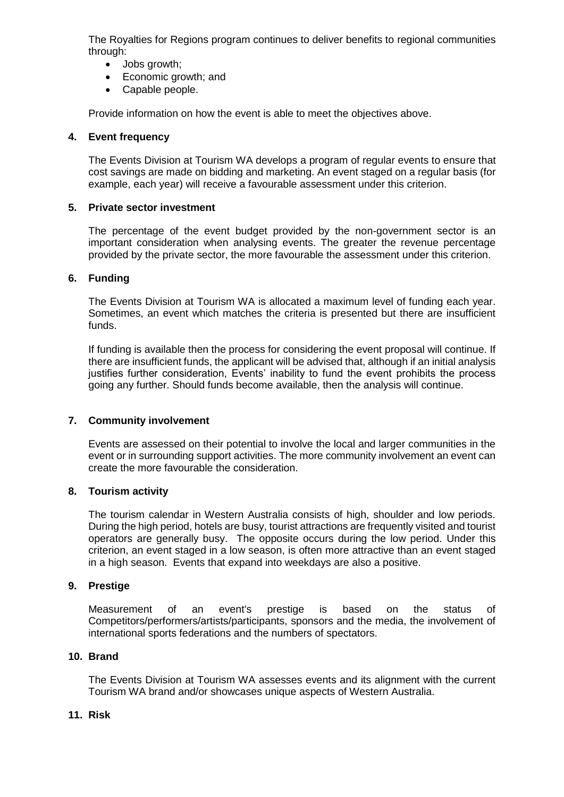The Royalties for Regions program continues to deliver benefits to regional communities through:

- Jobs growth;
- Economic growth; and
- Capable people.

Provide information on how the event is able to meet the objectives above.

### **4. Event frequency**

The Events Division at Tourism WA develops a program of regular events to ensure that cost savings are made on bidding and marketing. An event staged on a regular basis (for example, each year) will receive a favourable assessment under this criterion.

## **5. Private sector investment**

The percentage of the event budget provided by the non-government sector is an important consideration when analysing events. The greater the revenue percentage provided by the private sector, the more favourable the assessment under this criterion.

### **6. Funding**

The Events Division at Tourism WA is allocated a maximum level of funding each year. Sometimes, an event which matches the criteria is presented but there are insufficient funds.

If funding is available then the process for considering the event proposal will continue. If there are insufficient funds, the applicant will be advised that, although if an initial analysis justifies further consideration, Events' inability to fund the event prohibits the process going any further. Should funds become available, then the analysis will continue.

## **7. Community involvement**

Events are assessed on their potential to involve the local and larger communities in the event or in surrounding support activities. The more community involvement an event can create the more favourable the consideration.

#### **8. Tourism activity**

The tourism calendar in Western Australia consists of high, shoulder and low periods. During the high period, hotels are busy, tourist attractions are frequently visited and tourist operators are generally busy. The opposite occurs during the low period. Under this criterion, an event staged in a low season, is often more attractive than an event staged in a high season. Events that expand into weekdays are also a positive.

## **9. Prestige**

Measurement of an event's prestige is based on the status of Competitors/performers/artists/participants, sponsors and the media, the involvement of international sports federations and the numbers of spectators.

#### **10. Brand**

The Events Division at Tourism WA assesses events and its alignment with the current Tourism WA brand and/or showcases unique aspects of Western Australia.

## **11. Risk**